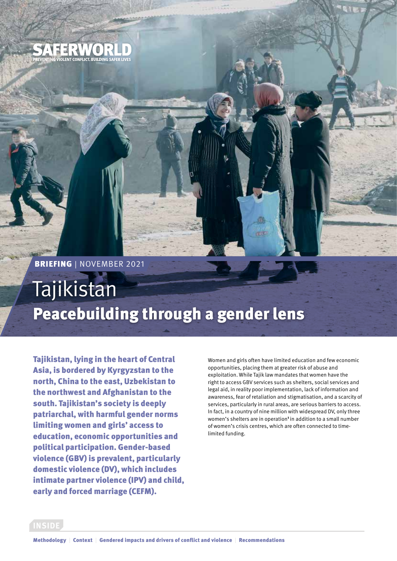

 $\bullet$ VIOLENT CONFLICT, BUILDING SAFER LIVES

# Tajikistan Peacebuilding through a gender lens

Tajikistan, lying in the heart of Central Asia, is bordered by Kyrgyzstan to the north, China to the east, Uzbekistan to the northwest and Afghanistan to the south. Tajikistan's society is deeply patriarchal, with harmful gender norms limiting women and girls' access to education, economic opportunities and political participation. Gender-based violence (GBV) is prevalent, particularly domestic violence (DV), which includes intimate partner violence (IPV) and child, early and forced marriage (CEFM).

Women and girls often have limited education and few economic opportunities, placing them at greater risk of abuse and exploitation. While Tajik law mandates that women have the right to access GBV services such as shelters, social services and legal aid, in reality poor implementation, lack of information and awareness, fear of retaliation and stigmatisation, and a scarcity of services, particularly in rural areas, are serious barriers to access. In fact, in a country of nine million with widespread DV, only three women's shelters are in operation<sup>1</sup> in addition to a small number of women's crisis centres, which are often connected to timelimited funding.

**INSIDE**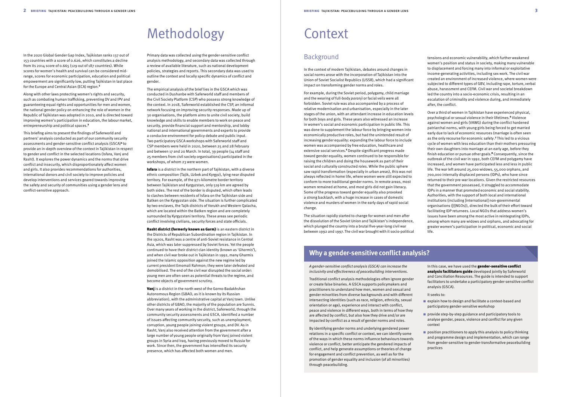# Methodology

Along with other laws protecting women's rights and security, such as combating human trafficking, preventing DV and IPV and guaranteeing equal rights and opportunities for men and women, the national gender policy on enhancing the role of women in the Republic of Tajikistan was adopted in 2010, and is directed toward improving women's participation in education, the labour market, entrepreneurship and political spaces.<sup>3</sup>

In the 2020 Global Gender Gap Index, Tajikistan ranks 137 out of 153 countries with a score of 0.626, which constitutes a decline from its 2014 score of 0.665 (129 out of 187 countries). While scores for women's health and survival can be considered midrange, scores for economic participation, education and political empowerment are significantly low, putting Tajikistan in last place for the Europe and Central Asian (ECA) region.<sup>2</sup>

This briefing aims to present the findings of Saferworld and partners' analysis conducted as part of our community security assessments and gender-sensitive conflict analysis (GSCA)<sup>4</sup> to provide an in-depth overview of the context in Tajikistan in respect to gender and conflict in the selected locations (Isfara, Vanj and Rasht). It explores the power dynamics and the norms that drive conflict and insecurity, which disproportionately affect women and girls. It also provides recommendations for authorities, international donors and civil society to improve policies and develop interventions and services geared towards improving the safety and security of communities using a gender lens and conflict-sensitive approach.

tensions and economic vulnerability, which further weakened women's position and status in society, making many vulnerable to displacement and forcing many into informal or exploitative income-generating activities, including sex work. The civil war created an environment of increased violence, where women were subjected to different types of GBV, including rape, torture, verbal abuse, harassment and CEFM. Civil war and societal breakdown led the country into a socio-economic crisis, resulting in an escalation of criminality and violence during, and immediately after, the conflict.

Over a third of women in Tajikistan have experienced physical, psychological or sexual violence in their lifetimes.<sup>6</sup> Violence against women and girls (VAWG) during the conflict hardened patriarchal norms, with young girls being forced to get married early due to lack of economic resources (marriage is often seen as the only recourse for economic safety.<sup>7</sup> This led to a vicious cycle of women with less education than their mothers pressuring their own daughters into marriage at an early age, before they finish education or pursue other goals.8 Consequently, since the outbreak of the civil war in 1992, both CEFM and polygamy have increased, and women have participated less and less in public life. The war left around 25,000 widows, 55,000 orphans, and 700,000 internally displaced persons (IDPs), who have since returned to their pre-war locations. Given the restricted resources that the government possessed, it struggled to accommodate IDPs in a manner that promoted economic and social stability. Authorities, with the support of both local and international institutions (including [international] non-governmental organisations ([I]NGOs)), directed the bulk of their effort toward facilitating IDP returnees. Local NGOs that address women's issues have been among the most active in reintegrating IDPs, among whom many are widows and orphans, and advocating for greater women's participation in political, economic and social life.

In this case, we have used the **gender-sensitive conflict** [analysis facilitators guide](https://www.saferworld.org.uk/resources/publications/1284-gender-sensitive-conflict-analysis-a-facilitation-guide) developed jointly by Saferworld and Conciliation Resources. The guide is intended to support facilitators to undertake a participatory gender-sensitive conflict analysis (GSCA).

### Background

- $\blacksquare$  explain how to design and facilitate a context-based and participatory gender-sensitive workshop
- $\blacksquare$  provide step-by-step guidance and participatory tools to analyse gender, peace, violence and conflict for any given context
- $\blacksquare$  position practitioners to apply this analysis to policy thinking and programme design and implementation, which can range from gender-sensitive to gender-transformative peacebuilding practices

In the context of modern Tajikistan, debates around changes in social norms arose with the incorporation of Tajikistan into the Union of Soviet Socialist Republics (USSR), which had a significant impact on transforming gender norms and roles.

For example, during the Soviet period, polygamy, child marriage and the wearing of full-body *paranji* or facial veils were all forbidden. Soviet rule was also accompanied by a process of relative modernisation and urbanisation, especially in the later stages of the union, with an attendant increase in education levels for both boys and girls. These years also witnessed an increase in women's social and economic participation in public life. This was done to supplement the labour force by bringing women into economically productive roles, but had the unintended result of increasing gender equality: expanding the labour force to include women was accompanied by free education, healthcare and extensive social services.<sup>5</sup> Despite significant progress made toward gender equality, women continued to be responsible for raising the children and doing the housework as part of their social and culturally constructed roles. While the public sphere saw rapid transformation (especially in urban areas), this was not always reflected in home life, where women were still expected to conform to more traditional gender norms. In remote areas, most women remained at home, and most girls did not gain literacy. Some of the progress toward gender equality also provoked a strong backlash, with a huge increase in cases of domestic violence and murders of women in the early days of rapid social change.

**Isfara** is a district in the northern part of Tajikistan, with a diverse ethnic composition (Tajik, Uzbek and Kyrgyz), lying near disputed territory. For example, of the 971-kilometre border territory between Tajikistan and Kyrgyzstan, only 519 km are agreed by both sides. The rest of the border is disputed, which often leads to clashes between residents of Isfara on the Tajikistan side and Batken on the Kyrgyzstan side. The situation is further complicated by two enclaves, the Tajik districts of Vorukh and Western Qalacha, which are located within the Batken region and are completely surrounded by Kyrgyzstani territory. These areas see periodic conflict involving civilians, security forces and state officials.

Vanj is a district in the north west of the Gorno-Badakhshan Autonomous Region (GBAO, as it is known by its Russian abbreviation), with the administrative capital at Vanj town. Unlike other districts of GBAO, the majority of the population are Sunnis. Over many years of working in the district, Saferworld, through the community security assessments and GSCA, identified a number of issues affecting community security, such as unemployment, corruption, young people joining violent groups, and DV. As in Rasht, Vanj also received attention from the government after a large number of young people originally from Vanj joined violent groups in Syria and Iraq, having previously moved to Russia for work. Since then, the government has intensified its security presence, which has affected both women and men.

# **Context**

The situation rapidly started to change for women and men after the dissolution of the Soviet Union and Tajikistan's independence, which plunged the country into a brutal five-year-long civil war between 1992 and 1997. The civil war brought with it socio-political

*A gender-sensitive conflict analysis (GSCA) can increase the inclusivity and effectiveness of peacebuilding interventions.* 

Traditional conflict analysis methodologies often ignore gender or create false binaries. A GSCA supports policymakers and practitioners to understand how men, women and sexual and gender minorities from diverse backgrounds and with different intersecting identities (such as race, religion, ethnicity, sexual orientation or age), experience and interact with conflict, peace and violence in different ways, both in terms of how they are affected by conflict, but also how they drive and/or are impacted by conflict as a result of gender norms and roles.

By identifying gender norms and underlying gendered power relations in a specific conflict or context, we can identify some of the ways in which these norms influence behaviours towards violence or conflict, better anticipate the gendered impacts of conflict, and help generate assumptions or theories of change for engagement and conflict prevention, as well as for the promotion of gender equality and inclusion (of all minorities) through peacebuilding.

It seeks to:

# **Why a gender-sensitive conflict analysis?**

Primary data was collected using the gender-sensitive conflict analysis methodology, and secondary data was collected through a review of available literature, such as national development policies, strategies and reports. This secondary data was used to outline the context and locally specific dynamics of conflict and gender.

The empirical analysis of the brief lies in the GSCA which was conducted in Dushanbe with Saferworld staff and members of the Civil Society Platform (CSP) who possess strong knowledge of the context. In 2018, Saferworld established the CSP, an informal network focusing on improving security responses. Made up of 30 organisations, the platform aims to unite civil society, build knowledge and skills to enable members to work on peace and security, provide financial support and mentorship, and lobby national and international governments and experts to provide a conducive environment for policy debate and public input. Two participatory GSCA workshops with Saferworld staff and CSP members were held in 2020, between 25 and 28 February and between 17 and 20 March. In total, 39 people (14 staff and 25 members from civil society organisations) participated in the workshops, of whom 23 were women.

Rasht district (formerly known as Garm) is an eastern district in the Districts of Republican Subordination region in Tajikistan. In the 1920s, Rasht was a centre of anti-Soviet resistance in Central Asia, which was later suppressed by Soviet forces. Yet the people continued to have their district clan identity (known as '*Gharmis*'), and when civil war broke out in Tajikistan in 1992, many Gharmis joined the Islamic opposition against the new regime led by current president Emomali Rahmon; they were later defeated and demobilised. The end of the civil war disrupted the social order: young men are often seen as potential threats to the regime, and become objects of government scrutiny.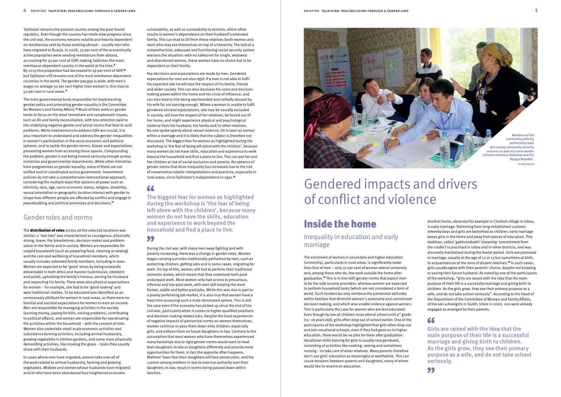vulnerability, as well as vulnerability to eviction, which often results in women's dependence on their husband's extended family. This can lead to DV from these relatives (both women and men) who may see themselves on top of a hierarchy. The lack of a comprehensive, adequate and functioning social security system worsens the situation: with no safety net for single, widowed and abandoned women, these women have no choice but to be dependent on their family.

Key decisions and expectations are made by men. Gendered expectations for men are also rigid: if a man is not able to fulfil his expected role he will lose the respect of his family, friends and wider society. This can also decrease his voice and decisionmaking power within the home and his circle of influence, and can also lead to him being reprimanded and verbally abused by his wife for not earning enough. Where a woman is unable to fulfil gendered societal expectations, she may be socially excluded in society, will lose the respect of her relatives, be forced out of her home, and might experience physical and psychological violence from her husband, his family and/or other relatives. No one spoke openly about sexual violence; DV is seen as normal within a marriage and it is likely that the subject is therefore not discussed. The biggest fear for women as highlighted during the workshop is 'the fear of being left alone with the children', because many women do not have skills, education and experience to work beyond the household and find a place to live. This can put her and her children at risk of social exclusion and poverty. Acceptance of gender norms that drive inequality has increased due to the rise of conservative Islamic interpretations and practices, especially in rural areas, since Tajikistan's independence in 1991.<sup>14</sup>

### $\epsilon$

**The biggest fear for women as highlighted during the workshop is 'the fear of being left alone with the children', because many women do not have the skills, education and experience to work beyond the household and find a place to live.**

#### 99

During the civil war, with many men away fighting and with poverty increasing, there was a change in gender roles. Women began carrying out roles traditionally performed by men, such as protecting children, getting jobs and in some cases, migrating for work. On top of this, women still had to perform their traditional domestic duties, which meant that they undertook both paid andunpaid work. Most women only had access to precarious, informal and low-paid work, with men still holding the more formal, stable and better-paid jobs. While this was due in part to a poorly performing job market, it is also true that women have a hard time accessing such a male-dominated sphere. This is still the case even if the economy has picked up since the end of the civil war, particularly when it comes to higher-qualified positions and decision-making related jobs. Despite the lived experiences of negative impacts of patriarchal norms on women themselves, women continue to pass them down onto children, especially girls, and enforce them on future daughters-in-law. Contrary to the assumption that most women who have themselves experienced many hardships due to rigid gender norms would want to treat their daughters-in-law or daughters differently and provide more opportunities for them, in fact the opposite often happens. Mothers' fears that their daughters will face persecution, and the custom among mothers-in-law to exercise authority over their daughters-in-law, result in norms being passed down within families.

# Gendered impacts and drivers of conflict and violence

Another factor, observed for example in Chorkuh village in Isfara, is early marriage. Stemming from long-established customs whereby boys and girls are betrothed as children, early marriage keeps girls in the home and away from places of education. This tradition, called 'gakhvorabakh' (meaning 'commitment from the cradle') is practised in Isfara and in other districts, and was discreetly maintained during the Soviet period. Girls are promised in marriage, usually at the age of 12 or 13 but sometimes at birth, to acquaintances or the sons of distant relatives.<sup>16</sup> In such cases, girls usually agree with their parents' choice, despite not knowing or seeing their future husband. As noted by one of the participants of the workshop, "girls are raised with the idea that the main purpose of their life is a successful marriage and giving birth to children. As the girls grow, they see their primary purpose as a wife, and do not take school seriously". According to the Head of the Department of the Committee of Women and Family Affairs, of the 661 schoolgirls in Surkh, Isfara in 2020, 200 were already engaged as arranged by their parents.

### $\epsilon$

The **distribution of roles** across all the selected locations was similar: a 'real man' was characterised as courageous, physically strong, brave; the breadwinner, decision-maker and problemsolver in the family and in society. Women are responsible for unpaid housework (such as preparing food, cleaning or sewing) and the care and wellbeing of household members, which usually includes extended family members, including in-laws. Women are expected to be 'good' wives by being outwardly presentable in both dress and manner (submissive, obedient and quiet), upholding the family's honour, serving her husband and respecting his family. There were also physical expectations for women – for example, she had to be 'good-looking' and wear traditional clothes. To be educated was identified as an unnecessary attribute for women in rural areas, as there were no familial and societal expectations for women to earn an income. Men are responsible for managing activities in the society (earning money, paying for bills, solving problems, contributing to political affairs), and women are responsible for coordinating the activities within the household – with the consent of men. Women also undertake small-scale economic activities and subsistence farming activities, including animal husbandry, growing vegetables in kitchen gardens, and some more physically demanding activities, like mowing the grass – tasks they usually share with their husbands.

**Girls are raised with the idea that the main purpose of their life is a successful marriage and giving birth to children. As the girls grow, they see their primary purpose as a wife, and do not take school seriously.**



Tajikistan remains the poorest country among the post-Soviet republics. Even though the country has made slow progress since the civil war, the economy remains volatile and heavily dependent on remittances sent by those working abroad – usually men who have migrated to Russia. In 2008, 33 per cent of the economically active population were sending remittances from abroad, accounting for 50 per cent of GDP, making Tajikistan the most remittance-dependent country in the world at the time.<sup>9</sup> By 2019 this proportion had decreased to 29 per cent of GDP,<sup>10</sup> but Tajikistan still remains one of the most remittance-dependent countries in the world. The gender pay gap is wide, with men's wages on average 30 per cent higher than women's; this rises to 50 per cent in rural areas.<sup>11</sup>

The main governmental body responsible for implementing gender policy and promoting gender equality is the Committee for Women's and Family Affairs.12 Much of their work on gender tends to focus on the most immediate and symptomatic issues, such as DV and family reconciliation, with less attention paid to the underlying negative gender and social norms that lead to such problems. While interventions to address GBV are crucial, it is also important to understand and address the gender inequalities in women's participation in the socio-economic and political spheres, and to tackle the gender norms, biases and expectations preventing women from accessing these spaces. Compounding the problem, gender is not being treated seriously enough across ministries and governmental departments. While other ministries have programmes on gender equality, many of these are not unified and/or coordinated across government. Government policies do not take a comprehensive intersectional approach, considering the multiple ways that systems of power such as ethnicity, race, age, socio-economic status, religion, disability, sexual orientation or geographic location interact with gender to shape how different people are affected by conflict and engage in peacebuilding and political processes and decisions.<sup>13</sup>

#### Gender roles and norms

In cases where men have migrated, women take over all of the work related to animal husbandry, farming and growing vegetables. Widows and women whose husbands have migrated and/or who have been abandoned face heightened economic



# Inside the home

### Inequality in education and early marriage

The enrolment of women in secondary and higher education (university), particularly in rural areas, is significantly lower than that of men – only 37 per cent of women attend university and, among those who do, few work outside the home after graduation.15 This is in line with gender norms that expect men to be the sole income providers, whereas women are expected to perform household tasks (which are not considered a form of work). Such tendencies only reinforce the patriarchal attitudes within families that diminish women's autonomy and control over decision making, and which also enable violence against women. This is particularly the case for women who are less educated. Even though by law all children must attend school until  $9<sup>th</sup>$  grade (15–16 years old), girls often drop out of school earlier. One of the participants of the workshop highlighted that girls often drop out and join vocational schools; even if they had gone on to higher education, there would be no jobs for them after graduation. Vocational skills training for girls is usually very gendered, consisting of activities like cooking, sewing and sometimes nursing – to take care of older relatives. Many parents therefore don't see girls' education as meaningful or worthwhile. This can cause tensions between parents and daughters, many of whom would like to receive an education.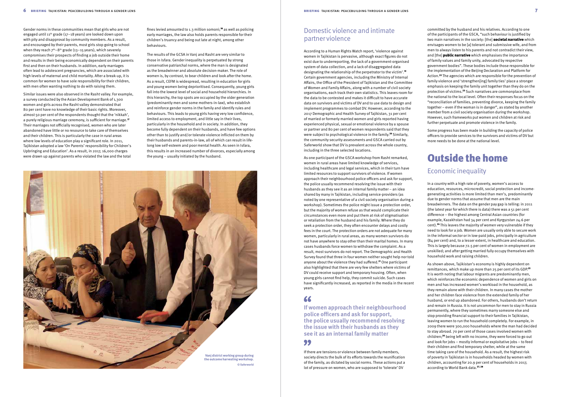fines levied amounted to 1.3 million somoni;18 as well as policing early marriages, the law also holds parents responsible for their children's truancy and being out late at night, among other behaviours.

The results of the GCSA in Vanj and Rasht are very similar to those in Isfara. Gender inequality is perpetuated by strong conservative patriarchal norms, where the man is designated as the breadwinner and absolute decision-maker. The role of women is, by contrast, to bear children and look after the home. As a result, CEFM is widespread, resulting in education for girls and young women being deprioritised. Consequently, young girls fall into the lowest level of social and household hierarchies. In this hierarchy, the top spots are occupied by the older generation (predominantly men and some mothers-in-law), who establish and reinforce gender norms in the family and identify rules and behaviours. This leads to young girls having very low confidence, limited access to employment, and little say in their lives, particularly in the household and in society. In addition, they become fully dependent on their husbands, and have few options other than to justify and/or tolerate violence inflicted on them by their husbands and parents-in-law, all of which can result in lifelong low self-esteem and poor mental health. As seen in Isfara, this results in an increased number of divorces, especially among the young – usually initiated by the husband.

> As shown above, Tajikistan's economy is highly dependent on remittances, which make up more than 25 per cent of its GDP.<sup>25</sup> It is worth noting that labour migrants are predominantly men, which reinforces the economic dependence of women and girls on men and has increased women's workload in the household, as they remain alone with their children. In many cases the mother and her children face violence from the extended family of her husband, or end up abandoned. For others, husbands don't return and remain in Russia. It is not uncommon for men to stay in Russia permanently, where they sometimes marry someone else and stop providing financial support to their families in Tajikistan, leaving women to run the household completely. For example, in 2009 there were 300,000 households where the man had decided to stay abroad. 70 per cent of those cases involved women with children;26 being left with no income, they were forced to go out and look for jobs – mostly informal or exploitative jobs – to feed their children and find temporary shelter, while at the same time taking care of the household. As a result, the highest risk of poverty in Tajikistan is in households headed by women with children, accounting for 20.9 per cent of households in 2017, according to World Bank data.<sup>27, 28</sup>

committed by the husband and his relatives. According to one of the participants of the GSCA, "such behaviour is justified by two main narratives in the society: [the] **societal narrative** which envisages women to be [a] tolerant and submissive wife, and from men to always listen to his parents and not contradict their view, and [the] **public narrative** which emphasises the importance of family values and family unity, advocated by respective government bodies". These bodies include those responsible for the implementation of the Beijing Declaration and Platform for Action.22 The agencies which are responsible for the prevention of family violence and 'strengthen[ing] family ties' place a stronger emphasis on keeping the family unit together than they do on the protection of victims.23 Such narratives are commonplace from the national to the local level. Often their responses focus on the "reconciliation of families, preventing divorce, keeping the family together – even if the woman is in danger", as stated by another member from a civil society organisation during the workshop. However, such frameworks put women and children at risk and further perpetuate and promote violence in the family.

Some progress has been made in building the capacity of police officers to provide services to the survivors and victims of DV but more needs to be done at the national level.

# Outside the home

#### Economic inequality

In a country with a high rate of poverty, women's access to education, resources, microcredit, social protection and incomegenerating activities is more limited than men's, predominantly due to gender norms that assume that men are the main breadwinners. The data on the gender pay gap is telling: in 2011 (the latest year for which there is data) there was a 51 per cent difference – the highest among Central Asian countries (for example, Kazakhstan had 34 per cent and Kyrgyzstan 24.6 per cent).24 This leaves the majority of women very vulnerable if they need to look for a job. Women are usually only able to secure work in the informal sector or in low-paid jobs, principally in agriculture (84 per cent) and, to a lesser extent, in healthcare and education. This is largely because 72.5 per cent of women in employment are unskilled; and after getting married fully occupy themselves with household work and raising children.

Gender norms in these communities mean that girls who are not engaged until 11th grade (17–18 years) are looked down upon with pity and disapproval by community members. As a result, and encouraged by their parents, most girls stop going to school when they reach  $7<sup>th</sup>-8<sup>th</sup>$  grade (13–15 years), which severely compromises their prospects of finding a job outside their home and results in their being economically dependent on their parents first and then on their husbands. In addition, early marriages often lead to adolescent pregnancies, which are associated with high levels of maternal and child mortality. After a break-up, it is common for women to have sole responsibility for their children, with men often wanting nothing to do with raising them.

Similar issues were also observed in the Rasht valley. For example, a survey conducted by the Asian Development Bank of 1,300 women and girls across the Rasht valley demonstrated that 80 per cent have no knowledge of their basic rights. Moreover, almost 50 per cent of the respondents thought that the 'nikkah', a purely religious marriage ceremony, is sufficient for marriage.<sup>17</sup> Their marriages not officially recognised, women who are later abandoned have little or no resource to take care of themselves and their children. This is particularly the case in rural areas where low levels of education play a significant role. In 2011, Tajikistan adopted a law 'On Parents' responsibility for Children's Upbringing and Education'. As a result, in 2017, 16,000 charges were drawn up against parents who violated the law and the total

## Domestic violence and intimate partner violence

According to a Human Rights Watch report, 'violence against women in Tajikistan is pervasive, although exact figures do not exist due to underreporting, the lack of a government-organised system of data collection, and a lack of disaggregated data designating the relationship of the perpetrator to the victim'.<sup>19</sup> Certain government agencies, including the Ministry of Internal Affairs, the Office of the President of Tajikistan and the Committee of Women and Family Affairs, along with a number of civil society organisations, each track their own statistics. This leaves room for the data to be contested and makes it difficult to have accurate data on survivors and victims of DV and to use data to design and implement programmes to combat DV. However, according to the 2017 Demographic and Health Survey of Tajikistan, 31 per cent of married or formerly married women and girls reported having experienced physical, sexual or emotional violence by a spouse or partner and 80 per cent of women respondents said that they were subject to psychological violence in the family.<sup>20</sup> Similarly, the community security assessments and GSCA carried out by Saferworld show that DV is prevalent across the whole country, including in the three selected locations.

As one participant of the GSCA workshop from Rasht remarked, women in rural areas have limited knowledge of services, including healthcare and legal services, which in their turn have limited resources to support survivors of violence. If women approach their neighbourhood police officers and ask for support, the police usually recommend resolving the issue with their husbands as they see it as an internal family matter – an idea shared by many in Tajikistan, including service-providers (as noted by one representative of a civil society organisation during a workshop). Sometimes the police might issue a protection order, but the majority of women refuse as that would complicate their circumstances even more and put them at risk of stigmatisation or retaliation from the husband and his family. Where they do seek a protection order, they often encounter delays and costly fees in the court. The protection orders are not adequate for many women, particularly in rural areas, as many women survivors do not have anywhere to stay other than their marital homes. In many cases husbands force women to withdraw the complaint. As a result, most survivors do not report. The Demographic and Health Survey found that three in four women neither sought help nor told anyone about the violence they had suffered.21 One participant also highlighted that there are very few shelters where victims of DV could receive support and temporary housing. Often, when young girls cannot find help, they commit suicide. Such cases have significantly increased, as reported in the media in the recent years.

#### 66

**If women approach their neighbourhood police officers and ask for support, the police usually recommend resolving the issue with their husbands as they see it as an internal family matter**

#### 99

If there are tensions or violence between family members, society directs the bulk of its efforts towards the reunification of the family, as dictated by social norms. These actions put a lot of pressure on women, who are supposed to 'tolerate' DV

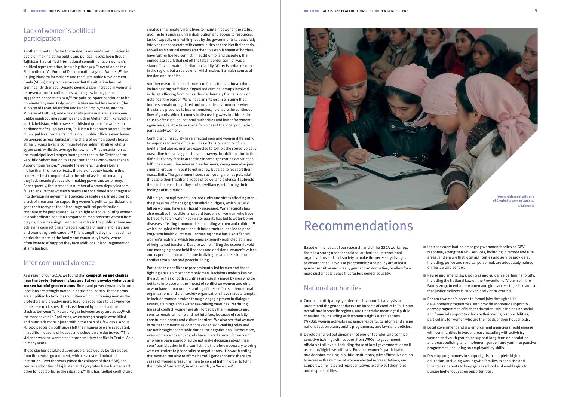# Recommendations

- $\blacksquare$  Increase coordination amongst government bodies on GBV response, strengthen GBV services, including in remote and rural areas, and ensure that local authorities and service providers, including, police and medical personnel, are adequately trained on the law and gender.
- $\blacksquare$  Revise and amend laws, policies and guidance pertaining to GBV, including the National Law on the Prevention of Violence in the Family 2013, to enhance women and girls' access to justice and so that justice delivery is survivor- and victim-centred.
- $\blacksquare$  Enhance women's access to formal jobs through skills development programmes, and provide economic support to access programmes of higher education, while increasing social and financial support to alleviate their caring responsibilities, particularly for women who are the heads of their households.
- Local government and law enforcement agencies should engage with communities in border areas, including with activists, women and youth groups, to support long-term de-escalation and peacebuilding, and implement gender- and youth-responsive programmes, including on employability skills.
- $\blacksquare$  Develop programmes to support girls to complete higher education, including working with families to sensitise and incentivise parents to keep girls in school and enable girls to pursue higher education opportunities.
- Conduct participatory, gender-sensitive conflict analysis to understand the gender drivers and impacts of conflict in Tajikistan overall and in specific regions, and undertake meaningful public consultation, including with women's rights organisations (WROs), women activists and gender experts, to inform and shape national action plans, public programmes, and laws and policies.
- Develop and roll out ongoing (not one-off) gender- and conflictsensitive training, with support from WROs, to government officials at all levels, including those at local government, as well as senior/high-level officials. Enhance women's participation and decision-making in public institutions, take affirmative action to increase the number of women elected representatives, and support women elected representatives to carry out their roles and responsibilities.

Based on the result of our research, and of the GSCA workshop, there is a strong need for national authorities, international organisations and civil society to make the necessary changes to ensure that all levels of programming and policy are at least gender sensitive and ideally gender transformative, to allow for a more sustainable peace that fosters gender equality.

### National authorities

# Lack of women's political participation

As a result of our GCSA, we found that **competition and clashes** near the border between Isfara and Batken provoke violence and worsen harmful gender norms. Roles and power dynamics in both locations are strongly rooted in patriarchal norms. These norms are amplified by toxic masculinities which, in framing men as the protectors and breadwinners, lead to a readiness to use violence in the case of clashes. This is evidenced by at least a dozen clashes between Tajiks and Kyrgyz between 2019 and 2020,<sup>36</sup> with the most severe in April 2021, when over 50 people were killed and hundreds more injured within the span of a few days. About 58,000 people on both sides left their homes or were evacuated. In addition, dozens of houses and schools were destroyed.<sup>37</sup> The violence was the worst cross-border military conflict in Central Asia in many years.

These clashes escalated upon orders received by border troops from the central government, which is a male-dominated institution. Over the years (since the collapse of the USSR), the central authorities of Tajikistan and Kyrgyzstan have blamed each other for destabilising the situation.<sup>38</sup> This has fuelled conflict and

Another important factor to consider is women's participation in decision making at the public and political levels. Even though Tajikistan has ratified international commitments on women's political representation, including the 1979 Convention on the Elimination of All Forms of Discrimination against Women,29 the Beijing Platform for Action<sup>30</sup> and the Sustainable Development Goals (SDGs),31 in practice we see that the situation has not significantly changed. Despite seeing a slow increase in women's representation in parliaments, which grew from 3 per cent in 1995 to 24 per cent in 2020,<sup>32</sup> the political space continues to be dominated by men. Only two ministries are led by a woman (the Minister of Labor, Migration and Public Employment, and the Minister of Culture), and one deputy prime minister is a woman. Unlike neighbouring countries including Afghanistan, Kyrgyzstan and Uzbekistan, which have established quotas for women in parliament of 25–30 per cent, Tajikistan lacks such targets. At the municipal level, women's inclusion in public office is even lower. On average across Tajikistan, the share of women deputy heads at the *jamoats* level (a community-level administrative role) is 15 per cent, while the average for township<sup>33</sup> representation at the municipal level ranges from 13 per cent in the District of the Republic Subordination to 21 per cent in the Gorno-Badakhshan Autonomous region.34 Despite the general numbers being higher than in other contexts, the role of deputy heads in this context is best compared with the role of assistant, meaning they lack meaningful decision-making power and autonomy. Consequently, the increase in number of women deputy leaders fails to ensure that women's needs are considered and integrated into developing government policies or strategies. In addition to a lack of measures for supporting women's political participation, gender stereotypes that discourage political participation continue to be perpetuated. As highlighted above, putting women in a subordinate position compared to men prevents women from playing more meaningful and active roles in the public sphere and achieving connections and social capital for running for election and promoting their careers.<sup>35</sup> This is amplified by the masculine/ patriarchal norm at the family and community levels, where often instead of support they face additional discouragement or stigmatisation.

### Inter-communal violence

created inflammatory narratives to maintain power or the status quo. Factors such as unfair distribution and access to resources, lack of capacity or unwillingness by the governments to peacefully intervene or cooperate with communities or consider their needs, as well as historical events attached to establishment of borders, have further fuelled conflict. In addition to land disputes, the immediate spark that set off the latest border conflict was a standoff over a water distribution facility. Water is a vital resource in the region, but a scarce one, which makes it a major source of tension and conflict.

Another reason for cross-border conflict is transnational crime, including drug trafficking. Organised criminal groups involved in drug trafficking from both sides deliberately fuel tensions or riots near the border. Many have an interest in ensuring that borders remain unregulated and unstable environments where the state's presence is less entrenched, to ensure the continued flow of goods. When it comes to discussing ways to address the causes of the issues, national authorities and law enforcement agencies give little to no space for voices of the local population, particularly women.

Conflict and insecurity have affected men and women differently. In response to some of the sources of tensions and conflicts highlighted above, men are expected to exhibit the stereotypically masculine traits of aggression and bravery. In addition, due to the difficulties they face in accessing income-generating activities to fulfil their masculine roles as breadwinners, young men also join criminal groups – in part to get money, but also to reassert their masculinity. The government sees such young men as potential threats to their traditional ideas of power and order so it subjects them to increased scrutiny and surveillance, reinforcing their feelings of frustration.

With high unemployment, job insecurity and stress affecting men, the pressures of managing household budgets, which usually fall on women, have significantly increased. Water scarcity has also resulted in additional unpaid burdens on women, who have to travel to fetch water. Poor water quality has led to water-borne diseases affecting communities, including women and children,<sup>39</sup> which, coupled with poor health infrastructure, has led to poor long-term health outcomes. Increasing crime has also affected women's mobility, which becomes extremely restricted at times of heightened tensions. Despite women filling the economic void and managing household finances and decisions, women's voices and experiences do not feature in dialogues and decisions on conflict resolution and peacebuilding.

Parties to the conflict are predominantly led by men and those fighting are also most commonly men. Decisions undertaken by the authorities of both countries are usually made by men who do not take into account the impact of conflict on women and girls, or who have a poor understanding of these effects. International organisations and civil society organisations have made attempts to include women's voices through engaging them in dialogue events, trainings and awareness-raising meetings. Yet during times of conflict, women are still forced by their husbands and sons to remain at home and not interfere, because of socially constructed norms and cultural barriers. We also see that women in border communities do not have decision-making roles and are not brought to the table during the negotiations. Furthermore, even women whose husbands have moved abroad for work or who have been abandoned do not make decisions about their sons' participation in the conflict. It is therefore necessary to bring women leaders to peace talks or negotiations. It is worth noting that women can also reinforce harmful gender norms: there are cases of women pressuring men to go and fight in order to fulfil their role of 'protector'; in other words, to 'be a man'.

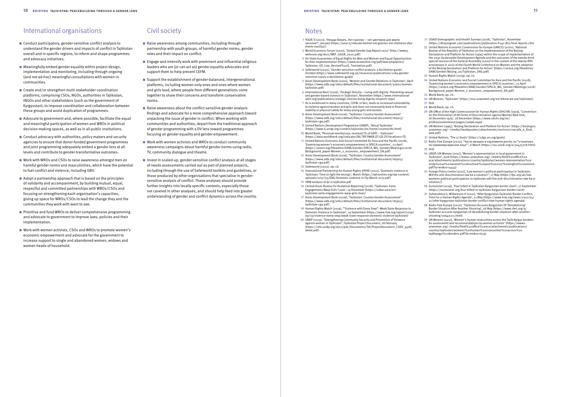#### Notes

- **1** YOUR.TJ (2021), 'Некуда бежать. Нет грантов нет шелтеров для жертв насилия?', January ([https://your.tj/nekuda-bezhat-net-grantov-net-shelterov-dlja](https://your.tj/nekuda-bezhat-net-grantov-net-shelterov-dlja-zhertv-nasilija/)[zhertv-nasilija/](https://your.tj/nekuda-bezhat-net-grantov-net-shelterov-dlja-zhertv-nasilija/))
- **2** World Economic Forum (2020), 'Global Gender Gap Report 2020' [\(http://www3.](http://www3.weforum.org/docs/WEF_GGGR_2020.pdf) [weforum.org/docs/WEF\\_GGGR\\_2020.pdf\)](http://www3.weforum.org/docs/WEF_GGGR_2020.pdf)
- **3** On State Guarantees of Equal Rights for Men and Women and Equal Opportunities for their Implementation ([https://www.wcwonline.org/pdf/lawcompilation/](https://www.wcwonline.org/pdf/lawcompilation/Tajikistan_GE_Law_Revised%20E_Translation.pdf) [Tajikistan\\_GE\\_Law\\_Revised%20E\\_Translation.pdf](https://www.wcwonline.org/pdf/lawcompilation/Tajikistan_GE_Law_Revised%20E_Translation.pdf))
- **4** Saferworld (2020), 'Gender-sensitive conflict analysis: a facilitation guide', October [\(https://www.saferworld.org.uk/resources/publications/1284-gender](https://www.saferworld.org.uk/resources/publications/1284-gender-sensitive-coysis-a-facilitation-guide)[sensitive-coysis-a-facilitation-guide](https://www.saferworld.org.uk/resources/publications/1284-gender-sensitive-coysis-a-facilitation-guide))
- **5** Asian Development Bank (2000), 'Women and Gender Relations in Tajikistan', April ([https://www.adb.org/sites/default/files/institutional-document/32601/women](https://www.adb.org/sites/default/files/institutional-document/32601/women-tajikistan.pdf)[tajikistan.pdf\)](https://www.adb.org/sites/default/files/institutional-document/32601/women-tajikistan.pdf)
- **6** International Alert (2016), 'Zindagii Shoista Living with dignity: Preventing sexual and gender-based violence in Tajikistan', November [\(https://www.international](https://www.international-alert.org/publications/zindagii-shoista-living-dignity-research-repo)[alert.org/publications/zindagii-shoista-living-dignity-research-repo\)](https://www.international-alert.org/publications/zindagii-shoista-living-dignity-research-repo)
- **7** As is evidenced in many countries, CEFM, in fact, leads to increased vulnerability to violence against women and girls and does not necessarily lead to financial stability or physical safety for many young girls and women.
- **8** Asian Development Bank (2016), 'Tajikistan: Country Gender Assessment' ([https://www.adb.org/sites/default/files/institutional-document/185615/](https://www.adb.org/sites/default/files/institutional-document/185615/tajikistan-cga.pdf) [tajikistan-cga.pdf](https://www.adb.org/sites/default/files/institutional-document/185615/tajikistan-cga.pdf))
- **9** United Nations Development Programme (UNDP), 'About Tajikistan' ([https://www.tj.undp.org/content/tajikistan/en/home/countryinfo.html\)](https://www.tj.undp.org/content/tajikistan/en/home/countryinfo.html) **10** World Bank, 'Personal remittances, received (% of GDP) – Tajikistan'
- ([https://data.worldbank.org/indicator/BX.TRF.PWKR.DT.GD.ZS?locations=TJ\)](https://data.worldbank.org/indicator/BX.TRF.PWKR.DT.GD.ZS?locations=TJ) **11** United Nations Economic and Social Committee for Asia and the Pacific (2018), 'Examining women's economic empowerment in SPECA countries', 23 April ([https://unece.org/fileadmin/DAM/Gender/SPECA\\_WG\\_Gender/Meetings/2018/](https://unece.org/fileadmin/DAM/Gender/SPECA_WG_Gender/Meetings/2018/Background_paper-Women_s_economic_empowerment_EN.pdf)
- [Background\\_paper-Women\\_s\\_economic\\_empowerment\\_EN.pdf\)](https://unece.org/fileadmin/DAM/Gender/SPECA_WG_Gender/Meetings/2018/Background_paper-Women_s_economic_empowerment_EN.pdf) **12** Asian Development Bank (2016), 'Tajikistan: Country Gender Assessment' ([https://www.adb.org/sites/default/files/institutional-document/185615/](https://www.adb.org/sites/default/files/institutional-document/185615/tajikistan-cga.pdf) [tajikistan-cga.pdf](https://www.adb.org/sites/default/files/institutional-document/185615/tajikistan-cga.pdf))
- **13** Saferworld (2020), op. cit.
- **14** International Partnership for Human Rights (IPHR) (2017), 'Domestic violence in Tajikistan: Time to right the wrongs', March ([https://iphronline.org/wp-content/](https://iphronline.org/wp-content/uploads/2017/03/ENG-Domestic-violence-in-Taj-March-2017.pdf) [uploads/2017/03/ENG-Domestic-violence-in-Taj-March-2017.pdf](https://iphronline.org/wp-content/uploads/2017/03/ENG-Domestic-violence-in-Taj-March-2017.pdf))
- **15** HRW analysis of dv in tajikistna.pdf
- **16** Central Asian Bureau for Analytical Reporting (2018), 'Tajikistan: Early Engagements Warp Girls' Lives', 19 December ([https://cabar.asia/en/](https://cabar.asia/en/tajikistan-early-engagements-warp-girls-lives) [tajikistan-early-engagements-warp-girls-lives\)](https://cabar.asia/en/tajikistan-early-engagements-warp-girls-lives)
- **17** Asian Development Bank (2016), 'Tajikistan: Country Gender Assessment' ([https://www.adb.org/sites/default/files/institutional-document/185615/](https://www.adb.org/sites/default/files/institutional-document/185615/tajikistan-cga.pdf) [tajikistan-cga.pdf](https://www.adb.org/sites/default/files/institutional-document/185615/tajikistan-cga.pdf))
- **19** Human Rights Watch (2019), '"Violence with Every Step": Weak State Response to Domestic Violence in Tajikistan', 19 September [\(https://www.hrw.org/report/2019/](https://www.hrw.org/report/2019/09/19/violence-every-step/weak-state-response-domestic-violence-tajikistan) [09/19/violence-every-step/weak-state-response-domestic-violence-tajikistan](https://www.hrw.org/report/2019/09/19/violence-every-step/weak-state-response-domestic-violence-tajikistan))
- **20** UNDP (2019), 'Strengthening Community Security and Prevention of Violence against women in Tajikistan', Tajikistan Project Document, 28 February ([https://info.undp.org/docs/pdc/Documents/TJK/ProjectDocument\\_CSDV\\_450K\\_](https://info.undp.org/docs/pdc/Documents/TJK/ProjectDocument_CSDV_450K_latest.pdf) [latest.pdf](https://info.undp.org/docs/pdc/Documents/TJK/ProjectDocument_CSDV_450K_latest.pdf))
- Conduct participatory, gender-sensitive conflict analysis to understand the gender drivers and impacts of conflict in Tajikistan overall and in specific regions, to inform and shape programmes and advocacy initiatives.
- $\blacksquare$  Meaningfully embed gender equality within project design, implementation and monitoring, including through ongoing (and not ad-hoc) meaningful consultations with women in communities.
- $\blacksquare$  Create and/or strengthen multi-stakeholder coordination platforms, comprising CSOs, NGOs, authorities in Tajikistan, INGOs and other stakeholders (such as the government of Kyrgyzstan), to improve coordination and collaboration between these groups and avoid duplication of programmes.
- n Advocate to government and, where possible, facilitate the equal and meaningful participation of women and WROs in political decision-making spaces, as well as in all public institutions.
- $\blacksquare$  Conduct advocacy with authorities, policy makers and security agencies to ensure that donor-funded government programmes and joint programming adequately embed a gender lens at all levels and contribute to gender-transformative outcomes.
- Work with WROs and CSOs to raise awareness amongst men on harmful gender norms and masculinities, which have the potential to fuel conflict and violence, including GBV.
- $\blacksquare$  Adopt a partnership approach that is based on the principles of solidarity and accompaniment, by building mutual, equal, respectful and committed partnerships with WROs/CSOs and focusing on strengthening each organisation's capacities, giving up space for WROs/CSOs to lead the change they and the communities they work with want to see.
- $\blacksquare$  Prioritise and fund WROs to deliver comprehensive programming and advocate to government to improve laws, policies and their implementation.
- Work with women activists, CSOs and WROs to promote women's economic empowerment and advocate for the government to increase support to single and abandoned women, widows and women heads of household.
- **21** USAID Demographic and Health Surveys (2018), 'Tajikistan', November [\(https://dhsprogram.com/publications/publication-fr341-dhs-final-reports.cfm\)](https://dhsprogram.com/publications/publication-fr341-dhs-final-reports.cfm)
- **22** United Nations Economic Commission for Europe (UNECE) (2020), 'National Review of the Republic of Tajikistan on the Implementation of the Beijing Declaration and Platform for Action (1995) within the scope of implementation of the 2030 Sustainable Development Agenda and the outcomes of the twenty-third special session of the General Assembly (2000) in the context of the twenty-fifth anniversary in 2020 of the Fourth World Conference on Women and the adoption of the Beijing Declaration and Platform for Action' [\(https://unece.org/fileadmin/](https://unece.org/fileadmin/DAM/Gender/Beijing_20/Tajikistan_ENG.pdf) [DAM/Gender/Beijing\\_20/Tajikistan\\_ENG.pdf](https://unece.org/fileadmin/DAM/Gender/Beijing_20/Tajikistan_ENG.pdf))
- **23** Human Rights Watch (2019), op. cit.
- **24** United Nations Economic and Social Committee for Asia and the Pacific (2018), 'Examining women's economic empowerment in SPECA countries', 23 April [\(https://unece.org/fileadmin/DAM/Gender/SPECA\\_WG\\_Gender/Meetings/2018/](https://unece.org/fileadmin/DAM/Gender/SPECA_WG_Gender/Meetings/2018/Background_paper-Women_s_economic_empowerment_EN.pdf) [Background\\_paper-Women\\_s\\_economic\\_empowerment\\_EN.pdf\)](https://unece.org/fileadmin/DAM/Gender/SPECA_WG_Gender/Meetings/2018/Background_paper-Women_s_economic_empowerment_EN.pdf)
- **25** World Bank, op. cit.
- **26** UN Women, 'Tajikistan' [\(https://eca.unwomen.org/en/where-we-are/tajikistan](https://eca.unwomen.org/en/where-we-are/tajikistan)) **27** Ibid.
- **28** World Bank, op. cit.
- **29** UN Office of the High Commissioner for Human Rights (OHCHR) (1979), 'Convention on the Elimination of All Forms of Discrimination against Women New York, 18 December 1979', 18 December [\(https://www.ohchr.org/en/](https://www.ohchr.org/en/professionalinterest/pages/cedaw.aspx) [professionalinterest/pages/cedaw.aspx\)](https://www.ohchr.org/en/professionalinterest/pages/cedaw.aspx)
- **30** UN Women (1995), 'Beijing Declaration and Platform for Action' [\(https://beijing20.](https://beijing20.unwomen.org/~/media/headquarters/attachments/sections/csw/pfa_e_final_web.pdf) [unwomen.org/~/media/headquarters/attachments/sections/csw/pfa\\_e\\_final\\_](https://beijing20.unwomen.org/~/media/headquarters/attachments/sections/csw/pfa_e_final_web.pdf) [web.pdf](https://beijing20.unwomen.org/~/media/headquarters/attachments/sections/csw/pfa_e_final_web.pdf))
- **31** United Nations, 'The 17 Goals' (https://sdgs.un.org/goals)
- **32** Radio Free Europe (2020), 'Число женщин в парламенте растет, но "у политики по-прежнему мужское лицо"', 8 March [\(https://rus.ozodi.org/a/30475728.html](https://rus.ozodi.org/a/30475728.html)) **33** Ibid.
- **34** UNDP, UN Women (2017), 'Women's representation in local government in Tajikistan', June [\(https://www2.unwomen.org/-/media/field%20office%20](https://www2.unwomen.org/-/media/field%20office%20eca/attachments/publications/country/tajikistan/women-representation%20undp%20un%20women%20brochure%20june%202017%20english%20version.pdf?la=en&vs=4543) [eca/attachments/publications/country/tajikistan/women-representation%20](https://www2.unwomen.org/-/media/field%20office%20eca/attachments/publications/country/tajikistan/women-representation%20undp%20un%20women%20brochure%20june%202017%20english%20version.pdf?la=en&vs=4543) [undp%20un%20women%20brochure%20june%202017%20english%20version.](https://www2.unwomen.org/-/media/field%20office%20eca/attachments/publications/country/tajikistan/women-representation%20undp%20un%20women%20brochure%20june%202017%20english%20version.pdf?la=en&vs=4543) [pdf?la=en&vs=4543\)](https://www2.unwomen.org/-/media/field%20office%20eca/attachments/publications/country/tajikistan/women-representation%20undp%20un%20women%20brochure%20june%202017%20english%20version.pdf?la=en&vs=4543)
- **35** Foreign Policy Centre (2021), 'Low women's political participation in Tajikistan: Will the anti-discrimination law be a solution?', 17 May [\(https://fpc.org.uk/low-](https://fpc.org.uk/low-womens-political-participation-in-tajikistan-will-the-anti-discrimination-law-be-a-solution/)[womens-political-participation-in-tajikistan-will-the-anti-discrimination-law-be-a](https://fpc.org.uk/low-womens-political-participation-in-tajikistan-will-the-anti-discrimination-law-be-a-solution/)[solution/\)](https://fpc.org.uk/low-womens-political-participation-in-tajikistan-will-the-anti-discrimination-law-be-a-solution/)
- **36** *Eurasianet* (2019), 'Four killed in Tajikistan-Kyrgyzstan border clash', 17 September [\(https://eurasianet.org/four-killed-in-tajikistan-kyrgyzstan-border-clash](https://eurasianet.org/four-killed-in-tajikistan-kyrgyzstan-border-clash))
- **37** Sultanalieva S, Williamson H (2021), 'After Kyrgyzstan-Tajikistan Border Conflict, Time For a Human Rights Agenda', 21 May ([https://www.hrw.org/news/2021/05/](https://www.hrw.org/news/2021/05/21/after-kyrgyzstan-tajikistan-border-conflict-time-human-rights-agenda) [21/after-kyrgyzstan-tajikistan-border-conflict-time-human-rights-agenda\)](https://www.hrw.org/news/2021/05/21/after-kyrgyzstan-tajikistan-border-conflict-time-human-rights-agenda)
- **38** Radio Free Europe (2020), 'Tajikistan Accuses Kyrgyzstan Of 'Destabilizing' Border Situation After Another Shooting', 28 May ([https://www.rferl.org/a/](https://www.rferl.org/a/tajikistan-accuses-kyrgyzstan-of-destabilizing-border-situation-after-another-shooting/30640211.html) [tajikistan-accuses-kyrgyzstan-of-destabilizing-border-situation-after-another](https://www.rferl.org/a/tajikistan-accuses-kyrgyzstan-of-destabilizing-border-situation-after-another-shooting/30640211.html)[shooting/30640211.html](https://www.rferl.org/a/tajikistan-accuses-kyrgyzstan-of-destabilizing-border-situation-after-another-shooting/30640211.html))
- **39** UN Women (2017), 'Women's human insecurities across the Tajik-Kyrgyz borders: An assessment and recommendations by women activists' [\(https://www2.](https://www2.unwomen.org/-/media/field%20office%20eca/attachments/publications/country/tajikistan/womens%20human%20insecurities%20across%20tajikkyrgyz%20borders.pdf?la=en&vs=634) [unwomen.org/-/media/field%20office%20eca/attachments/publications/](https://www2.unwomen.org/-/media/field%20office%20eca/attachments/publications/country/tajikistan/womens%20human%20insecurities%20across%20tajikkyrgyz%20borders.pdf?la=en&vs=634) [country/tajikistan/womens%20human%20insecurities%20across%20](https://www2.unwomen.org/-/media/field%20office%20eca/attachments/publications/country/tajikistan/womens%20human%20insecurities%20across%20tajikkyrgyz%20borders.pdf?la=en&vs=634) [tajikkyrgyz%20borders.pdf?la=en&vs=634](https://www2.unwomen.org/-/media/field%20office%20eca/attachments/publications/country/tajikistan/womens%20human%20insecurities%20across%20tajikkyrgyz%20borders.pdf?la=en&vs=634))
- Raise awareness among communities, including through partnership with youth groups, of harmful gender norms, gender roles and their impact on conflict.
- $\blacksquare$  Engage and intensify work with prominent and influential religious leaders who are (or can act as) gender equality advocates and support them to help prevent CEFM.
- n Support the establishment of gender-balanced, intergenerational platforms, including women-only ones and ones where women and girls lead, where people from different generations come together to share their concerns and transform conservative norms.
- $\blacksquare$  Raise awareness about the conflict-sensitive gender analysis findings and advocate for a more comprehensive approach toward unpacking the issue of gender in conflict. When working with communities and authorities, depart from the traditional approach of gender programming with a DV lens toward programmes focusing on gender equality and gender empowerment.
- $\blacksquare$  Work with women activists and WROs to conduct community awareness campaigns about harmful gender norms using radio, TV, community dialogue and theatre.
- $\blacksquare$  Invest in scaled-up, gender-sensitive conflict analysis at all stages of needs assessments carried out as part of planned projects, including through the use of Saferworld toolkits and guidelines, or those produced by other organisations that specialise in gendersensitive analysis of conflict. These analyses should provide further insights into locally specific contexts, especially those not covered in other analyses, and should help feed into greater understanding of gender and conflict dynamics across the country.

# International organisations

#### Civil society